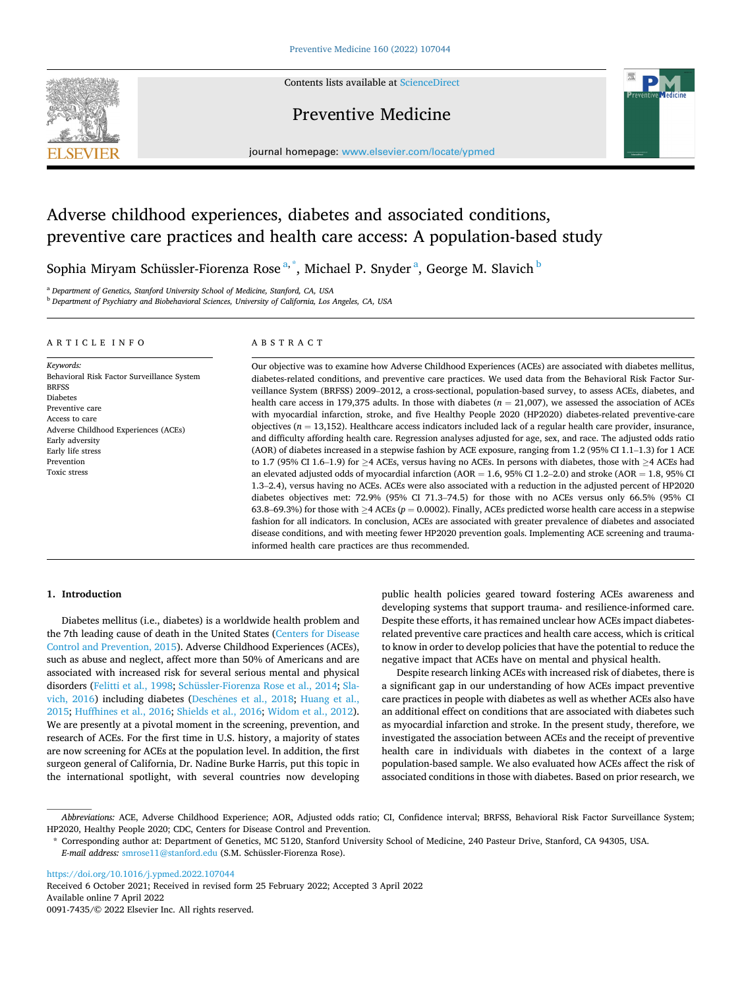

Contents lists available at [ScienceDirect](www.sciencedirect.com/science/journal/00917435)

## Preventive Medicine



journal homepage: [www.elsevier.com/locate/ypmed](https://www.elsevier.com/locate/ypmed)

# Adverse childhood experiences, diabetes and associated conditions, preventive care practices and health care access: A population-based study

Sophia Miryam Schüssler-Fiorenza Rose<sup>a,\*</sup>, Michael P. Snyder<sup>a</sup>, George M. Slavich <sup>b</sup>

<sup>a</sup> *Department of Genetics, Stanford University School of Medicine, Stanford, CA, USA* 

<sup>b</sup> *Department of Psychiatry and Biobehavioral Sciences, University of California, Los Angeles, CA, USA* 

#### ARTICLE INFO

## ABSTRACT

*Keywords:*  Behavioral Risk Factor Surveillance System **BRESS** Diabetes Preventive care Access to care Adverse Childhood Experiences (ACEs) Early adversity Early life stress Prevention Toxic stress

Our objective was to examine how Adverse Childhood Experiences (ACEs) are associated with diabetes mellitus, diabetes-related conditions, and preventive care practices. We used data from the Behavioral Risk Factor Surveillance System (BRFSS) 2009–2012, a cross-sectional, population-based survey, to assess ACEs, diabetes, and health care access in 179,375 adults. In those with diabetes  $(n = 21,007)$ , we assessed the association of ACEs with myocardial infarction, stroke, and five Healthy People 2020 (HP2020) diabetes-related preventive-care objectives (*n* = 13,152). Healthcare access indicators included lack of a regular health care provider, insurance, and difficulty affording health care. Regression analyses adjusted for age, sex, and race. The adjusted odds ratio (AOR) of diabetes increased in a stepwise fashion by ACE exposure, ranging from 1.2 (95% CI 1.1–1.3) for 1 ACE to 1.7 (95% CI 1.6–1.9) for ≥4 ACEs, versus having no ACEs. In persons with diabetes, those with ≥4 ACEs had an elevated adjusted odds of myocardial infarction  $(AOR = 1.6, 95\% \text{ CI } 1.2-2.0)$  and stroke  $(AOR = 1.8, 95\% \text{ CI } 1.2)$ 1.3–2.4), versus having no ACEs. ACEs were also associated with a reduction in the adjusted percent of HP2020 diabetes objectives met: 72.9% (95% CI 71.3–74.5) for those with no ACEs versus only 66.5% (95% CI 63.8–69.3%) for those with ≥4 ACEs (*p* = 0.0002). Finally, ACEs predicted worse health care access in a stepwise fashion for all indicators. In conclusion, ACEs are associated with greater prevalence of diabetes and associated disease conditions, and with meeting fewer HP2020 prevention goals. Implementing ACE screening and traumainformed health care practices are thus recommended.

## **1. Introduction**

Diabetes mellitus (i.e., diabetes) is a worldwide health problem and the 7th leading cause of death in the United States [\(Centers for Disease](#page-6-0)  [Control and Prevention, 2015\)](#page-6-0). Adverse Childhood Experiences (ACEs), such as abuse and neglect, affect more than 50% of Americans and are associated with increased risk for several serious mental and physical disorders [\(Felitti et al., 1998; Schüssler-Fiorenza Rose et al., 2014;](#page-6-0) [Sla](#page-6-0)[vich, 2016](#page-6-0)) including diabetes (Deschênes et al., 2018; Huang et al., [2015; Huffhines et al., 2016; Shields et al., 2016](#page-6-0); [Widom et al., 2012](#page-6-0)). We are presently at a pivotal moment in the screening, prevention, and research of ACEs. For the first time in U.S. history, a majority of states are now screening for ACEs at the population level. In addition, the first surgeon general of California, Dr. Nadine Burke Harris, put this topic in the international spotlight, with several countries now developing

public health policies geared toward fostering ACEs awareness and developing systems that support trauma- and resilience-informed care. Despite these efforts, it has remained unclear how ACEs impact diabetesrelated preventive care practices and health care access, which is critical to know in order to develop policies that have the potential to reduce the negative impact that ACEs have on mental and physical health.

Despite research linking ACEs with increased risk of diabetes, there is a significant gap in our understanding of how ACEs impact preventive care practices in people with diabetes as well as whether ACEs also have an additional effect on conditions that are associated with diabetes such as myocardial infarction and stroke. In the present study, therefore, we investigated the association between ACEs and the receipt of preventive health care in individuals with diabetes in the context of a large population-based sample. We also evaluated how ACEs affect the risk of associated conditions in those with diabetes. Based on prior research, we

<https://doi.org/10.1016/j.ypmed.2022.107044>

Available online 7 April 2022 0091-7435/© 2022 Elsevier Inc. All rights reserved. Received 6 October 2021; Received in revised form 25 February 2022; Accepted 3 April 2022

*Abbreviations:* ACE, Adverse Childhood Experience; AOR, Adjusted odds ratio; CI, Confidence interval; BRFSS, Behavioral Risk Factor Surveillance System; HP2020, Healthy People 2020; CDC, Centers for Disease Control and Prevention.

<sup>\*</sup> Corresponding author at: Department of Genetics, MC 5120, Stanford University School of Medicine, 240 Pasteur Drive, Stanford, CA 94305, USA. *E-mail address:* [smrose11@stanford.edu](mailto:smrose11@stanford.edu) (S.M. Schüssler-Fiorenza Rose).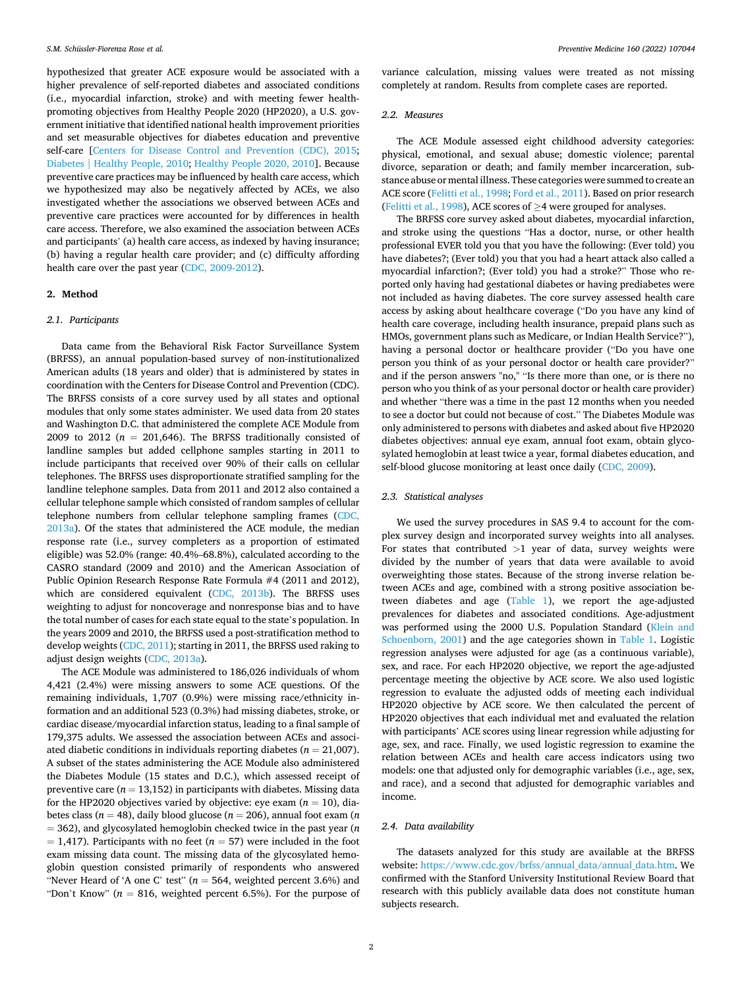hypothesized that greater ACE exposure would be associated with a higher prevalence of self-reported diabetes and associated conditions (i.e., myocardial infarction, stroke) and with meeting fewer healthpromoting objectives from Healthy People 2020 (HP2020), a U.S. government initiative that identified national health improvement priorities and set measurable objectives for diabetes education and preventive self-care [[Centers for Disease Control and Prevention \(CDC\), 2015](#page-6-0); [Diabetes | Healthy People, 2010](#page-6-0); [Healthy People 2020, 2010\]](#page-6-0). Because preventive care practices may be influenced by health care access, which we hypothesized may also be negatively affected by ACEs, we also investigated whether the associations we observed between ACEs and preventive care practices were accounted for by differences in health care access. Therefore, we also examined the association between ACEs and participants' (a) health care access, as indexed by having insurance; (b) having a regular health care provider; and (c) difficulty affording health care over the past year [\(CDC, 2009-2012\)](#page-6-0).

## **2. Method**

## *2.1. Participants*

Data came from the Behavioral Risk Factor Surveillance System (BRFSS), an annual population-based survey of non-institutionalized American adults (18 years and older) that is administered by states in coordination with the Centers for Disease Control and Prevention (CDC). The BRFSS consists of a core survey used by all states and optional modules that only some states administer. We used data from 20 states and Washington D.C. that administered the complete ACE Module from 2009 to 2012 ( $n = 201,646$ ). The BRFSS traditionally consisted of landline samples but added cellphone samples starting in 2011 to include participants that received over 90% of their calls on cellular telephones. The BRFSS uses disproportionate stratified sampling for the landline telephone samples. Data from 2011 and 2012 also contained a cellular telephone sample which consisted of random samples of cellular telephone numbers from cellular telephone sampling frames ([CDC,](#page-6-0)  [2013a\)](#page-6-0). Of the states that administered the ACE module, the median response rate (i.e., survey completers as a proportion of estimated eligible) was 52.0% (range: 40.4%–68.8%), calculated according to the CASRO standard (2009 and 2010) and the American Association of Public Opinion Research Response Rate Formula #4 (2011 and 2012), which are considered equivalent [\(CDC, 2013b](#page-6-0)). The BRFSS uses weighting to adjust for noncoverage and nonresponse bias and to have the total number of cases for each state equal to the state's population. In the years 2009 and 2010, the BRFSS used a post-stratification method to develop weights ([CDC, 2011](#page-6-0)); starting in 2011, the BRFSS used raking to adjust design weights ([CDC, 2013a](#page-6-0)).

The ACE Module was administered to 186,026 individuals of whom 4,421 (2.4%) were missing answers to some ACE questions. Of the remaining individuals, 1,707 (0.9%) were missing race/ethnicity information and an additional 523 (0.3%) had missing diabetes, stroke, or cardiac disease/myocardial infarction status, leading to a final sample of 179,375 adults. We assessed the association between ACEs and associated diabetic conditions in individuals reporting diabetes ( $n = 21,007$ ). A subset of the states administering the ACE Module also administered the Diabetes Module (15 states and D.C.), which assessed receipt of preventive care  $(n = 13,152)$  in participants with diabetes. Missing data for the HP2020 objectives varied by objective: eye exam  $(n = 10)$ , diabetes class (*n* = 48), daily blood glucose (*n* = 206), annual foot exam (*n*  = 362), and glycosylated hemoglobin checked twice in the past year (*n*   $= 1,417$ ). Participants with no feet ( $n = 57$ ) were included in the foot exam missing data count. The missing data of the glycosylated hemoglobin question consisted primarily of respondents who answered "Never Heard of 'A one C' test" ( $n = 564$ , weighted percent 3.6%) and "Don't Know" ( $n = 816$ , weighted percent 6.5%). For the purpose of variance calculation, missing values were treated as not missing completely at random. Results from complete cases are reported.

#### *2.2. Measures*

The ACE Module assessed eight childhood adversity categories: physical, emotional, and sexual abuse; domestic violence; parental divorce, separation or death; and family member incarceration, substance abuse or mental illness. These categories were summed to create an ACE score [\(Felitti et al., 1998; Ford et al., 2011](#page-6-0)). Based on prior research ([Felitti et al., 1998\)](#page-6-0), ACE scores of  $\geq$ 4 were grouped for analyses.

The BRFSS core survey asked about diabetes, myocardial infarction, and stroke using the questions "Has a doctor, nurse, or other health professional EVER told you that you have the following: (Ever told) you have diabetes?; (Ever told) you that you had a heart attack also called a myocardial infarction?; (Ever told) you had a stroke?" Those who reported only having had gestational diabetes or having prediabetes were not included as having diabetes. The core survey assessed health care access by asking about healthcare coverage ("Do you have any kind of health care coverage, including health insurance, prepaid plans such as HMOs, government plans such as Medicare, or Indian Health Service?"), having a personal doctor or healthcare provider ("Do you have one person you think of as your personal doctor or health care provider?" and if the person answers "no," "Is there more than one, or is there no person who you think of as your personal doctor or health care provider) and whether "there was a time in the past 12 months when you needed to see a doctor but could not because of cost." The Diabetes Module was only administered to persons with diabetes and asked about five HP2020 diabetes objectives: annual eye exam, annual foot exam, obtain glycosylated hemoglobin at least twice a year, formal diabetes education, and self-blood glucose monitoring at least once daily [\(CDC, 2009\)](#page-6-0).

## *2.3. Statistical analyses*

We used the survey procedures in SAS 9.4 to account for the complex survey design and incorporated survey weights into all analyses. For states that contributed *>*1 year of data, survey weights were divided by the number of years that data were available to avoid overweighting those states. Because of the strong inverse relation between ACEs and age, combined with a strong positive association between diabetes and age ([Table 1](#page-2-0)), we report the age-adjusted prevalences for diabetes and associated conditions. Age-adjustment was performed using the 2000 U.S. Population Standard [\(Klein and](#page-6-0)  [Schoenborn, 2001\)](#page-6-0) and the age categories shown in [Table 1](#page-2-0). Logistic regression analyses were adjusted for age (as a continuous variable), sex, and race. For each HP2020 objective, we report the age-adjusted percentage meeting the objective by ACE score. We also used logistic regression to evaluate the adjusted odds of meeting each individual HP2020 objective by ACE score. We then calculated the percent of HP2020 objectives that each individual met and evaluated the relation with participants' ACE scores using linear regression while adjusting for age, sex, and race. Finally, we used logistic regression to examine the relation between ACEs and health care access indicators using two models: one that adjusted only for demographic variables (i.e., age, sex, and race), and a second that adjusted for demographic variables and income.

## *2.4. Data availability*

The datasets analyzed for this study are available at the BRFSS website: [https://www.cdc.gov/brfss/annual\\_data/annual\\_data.htm.](https://www.cdc.gov/brfss/annual_data/annual_data.htm) We confirmed with the Stanford University Institutional Review Board that research with this publicly available data does not constitute human subjects research.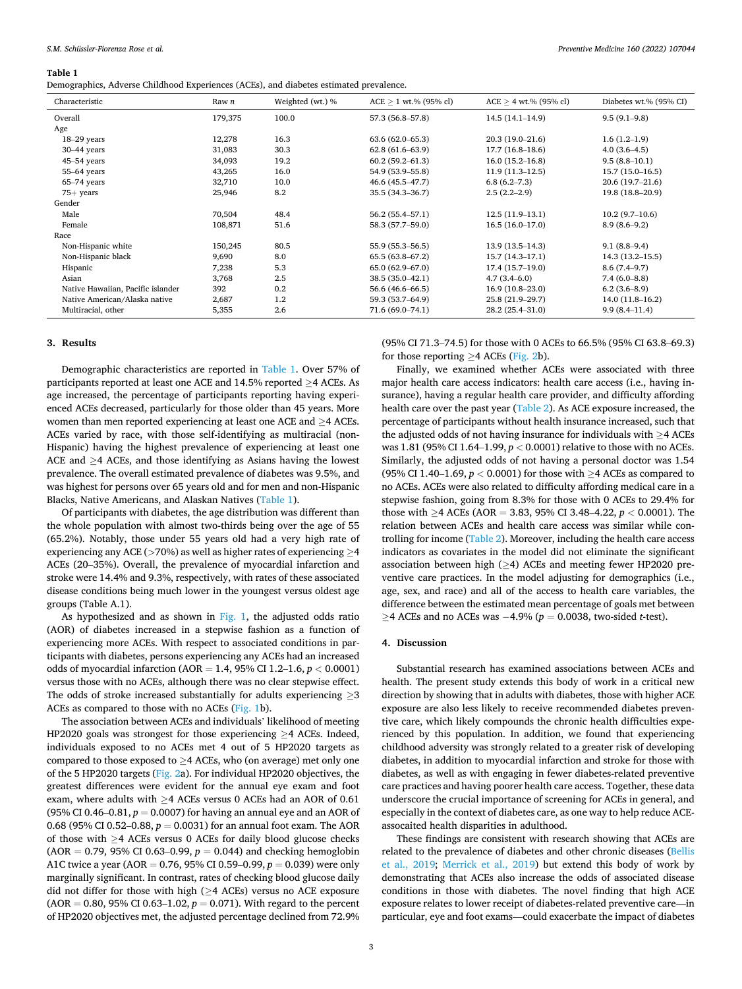<span id="page-2-0"></span>*S.M. Schüssler-Fiorenza Rose et al.* 

#### **Table 1**

Demographics, Adverse Childhood Experiences (ACEs), and diabetes estimated prevalence.

| Characteristic                    | Raw n   | Weighted (wt.) % | $ACE > 1$ wt.% (95% cl) | $ACE > 4$ wt.% (95% cl) | Diabetes wt.% (95% CI) |
|-----------------------------------|---------|------------------|-------------------------|-------------------------|------------------------|
| Overall                           | 179,375 | 100.0            | 57.3 (56.8-57.8)        | $14.5(14.1-14.9)$       | $9.5(9.1-9.8)$         |
| Age                               |         |                  |                         |                         |                        |
| $18-29$ years                     | 12,278  | 16.3             | $63.6(62.0 - 65.3)$     | $20.3(19.0-21.6)$       | $1.6(1.2-1.9)$         |
| $30-44$ years                     | 31,083  | 30.3             | $62.8(61.6-63.9)$       | $17.7(16.8-18.6)$       | $4.0(3.6-4.5)$         |
| 45-54 years                       | 34,093  | 19.2             | $60.2(59.2 - 61.3)$     | $16.0(15.2 - 16.8)$     | $9.5(8.8-10.1)$        |
| 55-64 years                       | 43,265  | 16.0             | 54.9 (53.9-55.8)        | $11.9(11.3-12.5)$       | $15.7(15.0 - 16.5)$    |
| $65-74$ years                     | 32,710  | 10.0             | 46.6 (45.5–47.7)        | 6.8(6.2–7.3)            | $20.6(19.7-21.6)$      |
| $75+$ years                       | 25,946  | 8.2              | 35.5 (34.3–36.7)        | $2.5(2.2-2.9)$          | 19.8 (18.8–20.9)       |
| Gender                            |         |                  |                         |                         |                        |
| Male                              | 70,504  | 48.4             | $56.2(55.4 - 57.1)$     | $12.5(11.9-13.1)$       | $10.2(9.7-10.6)$       |
| Female                            | 108,871 | 51.6             | 58.3 (57.7–59.0)        | $16.5(16.0-17.0)$       | $8.9(8.6-9.2)$         |
| Race                              |         |                  |                         |                         |                        |
| Non-Hispanic white                | 150,245 | 80.5             | 55.9 (55.3–56.5)        | $13.9(13.5-14.3)$       | $9.1(8.8-9.4)$         |
| Non-Hispanic black                | 9,690   | 8.0              | 65.5 (63.8-67.2)        | $15.7(14.3-17.1)$       | $14.3(13.2 - 15.5)$    |
| Hispanic                          | 7,238   | 5.3              | 65.0 (62.9–67.0)        | $17.4(15.7-19.0)$       | $8.6(7.4-9.7)$         |
| Asian                             | 3,768   | 2.5              | 38.5 (35.0-42.1)        | $4.7(3.4-6.0)$          | $7.4(6.0-8.8)$         |
| Native Hawaiian, Pacific islander | 392     | 0.2              | 56.6 (46.6–66.5)        | $16.9(10.8-23.0)$       | $6.2(3.6-8.9)$         |
| Native American/Alaska native     | 2,687   | 1.2              | 59.3 (53.7–64.9)        | 25.8 (21.9-29.7)        | $14.0(11.8-16.2)$      |
| Multiracial, other                | 5,355   | 2.6              | 71.6 (69.0-74.1)        | 28.2 (25.4-31.0)        | $9.9(8.4 - 11.4)$      |

#### **3. Results**

Demographic characteristics are reported in Table 1. Over 57% of participants reported at least one ACE and 14.5% reported ≥4 ACEs. As age increased, the percentage of participants reporting having experienced ACEs decreased, particularly for those older than 45 years. More women than men reported experiencing at least one ACE and ≥4 ACEs. ACEs varied by race, with those self-identifying as multiracial (non-Hispanic) having the highest prevalence of experiencing at least one ACE and ≥4 ACEs, and those identifying as Asians having the lowest prevalence. The overall estimated prevalence of diabetes was 9.5%, and was highest for persons over 65 years old and for men and non-Hispanic Blacks, Native Americans, and Alaskan Natives (Table 1).

Of participants with diabetes, the age distribution was different than the whole population with almost two-thirds being over the age of 55 (65.2%). Notably, those under 55 years old had a very high rate of experiencing any ACE (*>*70%) as well as higher rates of experiencing ≥4 ACEs (20–35%). Overall, the prevalence of myocardial infarction and stroke were 14.4% and 9.3%, respectively, with rates of these associated disease conditions being much lower in the youngest versus oldest age groups (Table A.1).

As hypothesized and as shown in [Fig. 1,](#page-3-0) the adjusted odds ratio (AOR) of diabetes increased in a stepwise fashion as a function of experiencing more ACEs. With respect to associated conditions in participants with diabetes, persons experiencing any ACEs had an increased odds of myocardial infarction (AOR = 1.4, 95% CI 1.2–1.6, *p <* 0.0001) versus those with no ACEs, although there was no clear stepwise effect. The odds of stroke increased substantially for adults experiencing  $\geq$ 3 ACEs as compared to those with no ACEs ([Fig. 1b](#page-3-0)).

The association between ACEs and individuals' likelihood of meeting HP2020 goals was strongest for those experiencing ≥4 ACEs. Indeed, individuals exposed to no ACEs met 4 out of 5 HP2020 targets as compared to those exposed to  $\geq$  4 ACEs, who (on average) met only one of the 5 HP2020 targets [\(Fig. 2a](#page-4-0)). For individual HP2020 objectives, the greatest differences were evident for the annual eye exam and foot exam, where adults with  $\geq$ 4 ACEs versus 0 ACEs had an AOR of 0.61 (95% CI 0.46–0.81,  $p = 0.0007$ ) for having an annual eye and an AOR of 0.68 (95% CI 0.52–0.88,  $p = 0.0031$ ) for an annual foot exam. The AOR of those with ≥4 ACEs versus 0 ACEs for daily blood glucose checks  $(AOR = 0.79, 95\% \text{ CI } 0.63-0.99, p = 0.044)$  and checking hemoglobin A1C twice a year (AOR =  $0.76$ , 95% CI 0.59–0.99,  $p = 0.039$ ) were only marginally significant. In contrast, rates of checking blood glucose daily did not differ for those with high (≥4 ACEs) versus no ACE exposure  $(AOR = 0.80, 95\% \text{ CI } 0.63-1.02, p = 0.071)$ . With regard to the percent of HP2020 objectives met, the adjusted percentage declined from 72.9%

(95% CI 71.3–74.5) for those with 0 ACEs to 66.5% (95% CI 63.8–69.3) for those reporting  $>4$  ACEs ([Fig. 2b](#page-4-0)).

Finally, we examined whether ACEs were associated with three major health care access indicators: health care access (i.e., having insurance), having a regular health care provider, and difficulty affording health care over the past year ([Table 2\)](#page-5-0). As ACE exposure increased, the percentage of participants without health insurance increased, such that the adjusted odds of not having insurance for individuals with ≥4 ACEs was 1.81 (95% CI 1.64–1.99, *p <* 0.0001) relative to those with no ACEs. Similarly, the adjusted odds of not having a personal doctor was 1.54 (95% CI 1.40–1.69,  $p < 0.0001$ ) for those with  $\geq$ 4 ACEs as compared to no ACEs. ACEs were also related to difficulty affording medical care in a stepwise fashion, going from 8.3% for those with 0 ACEs to 29.4% for those with ≥4 ACEs (AOR = 3.83, 95% CI 3.48–4.22, *p <* 0.0001). The relation between ACEs and health care access was similar while controlling for income ([Table 2\)](#page-5-0). Moreover, including the health care access indicators as covariates in the model did not eliminate the significant association between high ( $\geq$ 4) ACEs and meeting fewer HP2020 preventive care practices. In the model adjusting for demographics (i.e., age, sex, and race) and all of the access to health care variables, the difference between the estimated mean percentage of goals met between ≥4 ACEs and no ACEs was − 4.9% (*p* = 0.0038, two-sided *t*-test).

## **4. Discussion**

Substantial research has examined associations between ACEs and health. The present study extends this body of work in a critical new direction by showing that in adults with diabetes, those with higher ACE exposure are also less likely to receive recommended diabetes preventive care, which likely compounds the chronic health difficulties experienced by this population. In addition, we found that experiencing childhood adversity was strongly related to a greater risk of developing diabetes, in addition to myocardial infarction and stroke for those with diabetes, as well as with engaging in fewer diabetes-related preventive care practices and having poorer health care access. Together, these data underscore the crucial importance of screening for ACEs in general, and especially in the context of diabetes care, as one way to help reduce ACEassocaited health disparities in adulthood.

These findings are consistent with research showing that ACEs are related to the prevalence of diabetes and other chronic diseases ([Bellis](#page-6-0)  [et al., 2019](#page-6-0); [Merrick et al., 2019\)](#page-6-0) but extend this body of work by demonstrating that ACEs also increase the odds of associated disease conditions in those with diabetes. The novel finding that high ACE exposure relates to lower receipt of diabetes-related preventive care—in particular, eye and foot exams—could exacerbate the impact of diabetes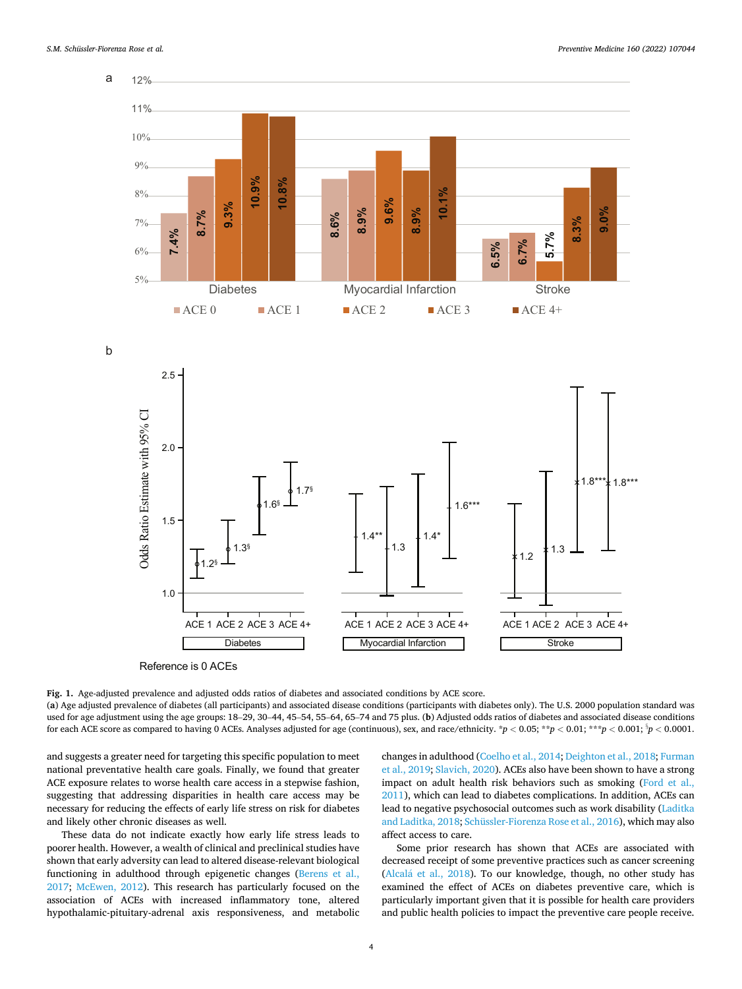<span id="page-3-0"></span>

b



Reference is 0 ACEs

**Fig. 1.** Age-adjusted prevalence and adjusted odds ratios of diabetes and associated conditions by ACE score. (**a**) Age adjusted prevalence of diabetes (all participants) and associated disease conditions (participants with diabetes only). The U.S. 2000 population standard was used for age adjustment using the age groups: 18–29, 30–44, 45–54, 55–64, 65–74 and 75 plus. (**b**) Adjusted odds ratios of diabetes and associated disease conditions for each ACE score as compared to having 0 ACEs. Analyses adjusted for age (continuous), sex, and race/ethnicity.  $*p < 0.05; **p < 0.01; **p < 0.001; *p < 0.0001$ .

and suggests a greater need for targeting this specific population to meet national preventative health care goals. Finally, we found that greater ACE exposure relates to worse health care access in a stepwise fashion, suggesting that addressing disparities in health care access may be necessary for reducing the effects of early life stress on risk for diabetes and likely other chronic diseases as well.

These data do not indicate exactly how early life stress leads to poorer health. However, a wealth of clinical and preclinical studies have shown that early adversity can lead to altered disease-relevant biological functioning in adulthood through epigenetic changes ([Berens et al.,](#page-6-0)  [2017;](#page-6-0) [McEwen, 2012\)](#page-6-0). This research has particularly focused on the association of ACEs with increased inflammatory tone, altered hypothalamic-pituitary-adrenal axis responsiveness, and metabolic changes in adulthood [\(Coelho et al., 2014](#page-6-0); [Deighton et al., 2018; Furman](#page-6-0)  [et al., 2019; Slavich, 2020](#page-6-0)). ACEs also have been shown to have a strong impact on adult health risk behaviors such as smoking [\(Ford et al.,](#page-6-0)  [2011\)](#page-6-0), which can lead to diabetes complications. In addition, ACEs can lead to negative psychosocial outcomes such as work disability [\(Laditka](#page-6-0)  [and Laditka, 2018](#page-6-0); [Schüssler-Fiorenza Rose et al., 2016](#page-6-0)), which may also affect access to care.

Some prior research has shown that ACEs are associated with decreased receipt of some preventive practices such as cancer screening (Alcalá et al.,  $2018$ ). To our knowledge, though, no other study has examined the effect of ACEs on diabetes preventive care, which is particularly important given that it is possible for health care providers and public health policies to impact the preventive care people receive.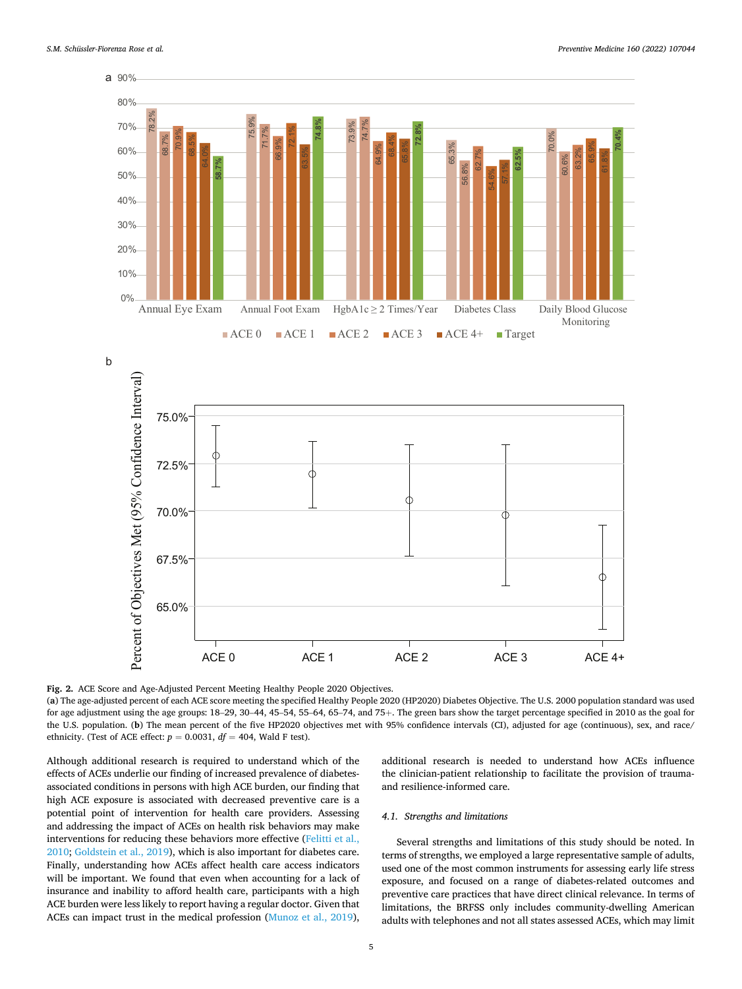<span id="page-4-0"></span>



**Fig. 2.** ACE Score and Age-Adjusted Percent Meeting Healthy People 2020 Objectives.

(**a**) The age-adjusted percent of each ACE score meeting the specified Healthy People 2020 (HP2020) Diabetes Objective. The U.S. 2000 population standard was used for age adjustment using the age groups: 18–29, 30–44, 45–54, 55–64, 65–74, and 75+. The green bars show the target percentage specified in 2010 as the goal for the U.S. population. (**b**) The mean percent of the five HP2020 objectives met with 95% confidence intervals (CI), adjusted for age (continuous), sex, and race/ ethnicity. (Test of ACE effect:  $p = 0.0031$ ,  $df = 404$ , Wald F test).

Although additional research is required to understand which of the effects of ACEs underlie our finding of increased prevalence of diabetesassociated conditions in persons with high ACE burden, our finding that high ACE exposure is associated with decreased preventive care is a potential point of intervention for health care providers. Assessing and addressing the impact of ACEs on health risk behaviors may make interventions for reducing these behaviors more effective [\(Felitti et al.,](#page-6-0)  [2010; Goldstein et al., 2019\)](#page-6-0), which is also important for diabetes care. Finally, understanding how ACEs affect health care access indicators will be important. We found that even when accounting for a lack of insurance and inability to afford health care, participants with a high ACE burden were less likely to report having a regular doctor. Given that ACEs can impact trust in the medical profession ([Munoz et al., 2019](#page-6-0)),

additional research is needed to understand how ACEs influence the clinician-patient relationship to facilitate the provision of traumaand resilience-informed care.

#### *4.1. Strengths and limitations*

Several strengths and limitations of this study should be noted. In terms of strengths, we employed a large representative sample of adults, used one of the most common instruments for assessing early life stress exposure, and focused on a range of diabetes-related outcomes and preventive care practices that have direct clinical relevance. In terms of limitations, the BRFSS only includes community-dwelling American adults with telephones and not all states assessed ACEs, which may limit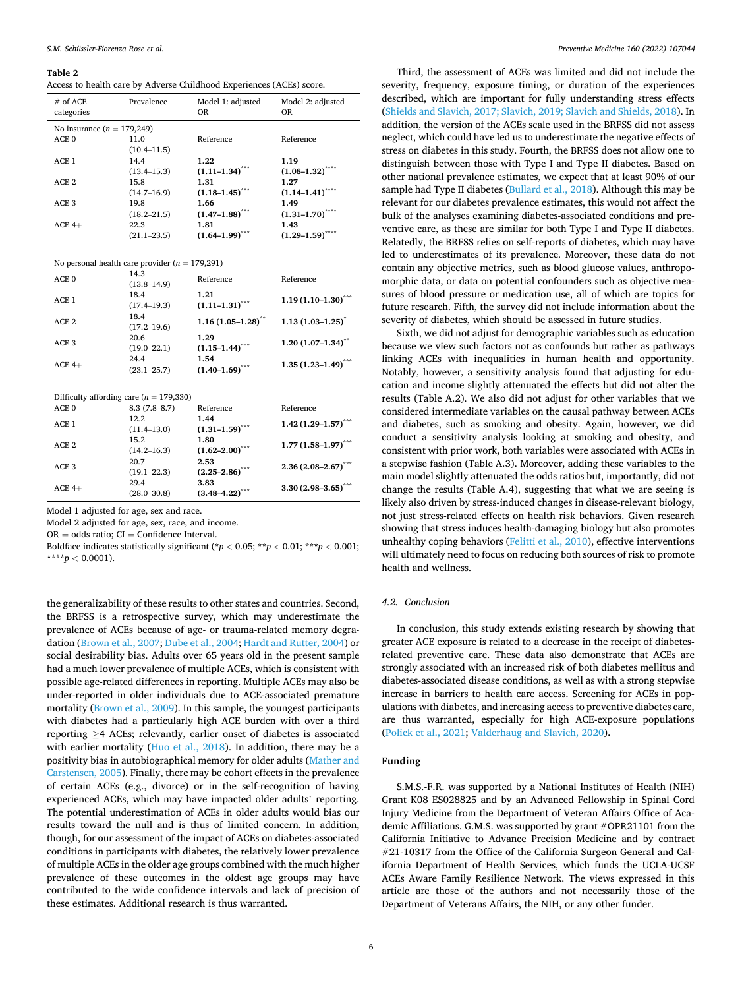#### <span id="page-5-0"></span>**Table 2**

|  |  | Access to health care by Adverse Childhood Experiences (ACEs) score. |
|--|--|----------------------------------------------------------------------|
|--|--|----------------------------------------------------------------------|

| $#$ of ACE<br>categories     | Prevalence      | Model 1: adjusted<br><b>OR</b> | Model 2: adjusted<br><b>OR</b> |  |  |
|------------------------------|-----------------|--------------------------------|--------------------------------|--|--|
| No insurance $(n = 179,249)$ |                 |                                |                                |  |  |
| ACE <sub>0</sub>             | 11.0            | Reference                      | Reference                      |  |  |
|                              | $(10.4 - 11.5)$ |                                |                                |  |  |
| ACE 1                        | 14.4            | 1.22                           | 1.19                           |  |  |
|                              | $(13.4 - 15.3)$ | $(1.11-1.34)$ ***              | $(1.08 - 1.32)$ ****           |  |  |
| ACE <sub>2</sub>             | 15.8            | 1.31                           | 1.27                           |  |  |
|                              | $(14.7 - 16.9)$ | $(1.18 - 1.45)^{***}$          | $(1.14 - 1.41)^{***}$          |  |  |
| ACE.3                        | 19.8            | 1.66                           | 1.49                           |  |  |
|                              | $(18.2 - 21.5)$ | $(1.47 - 1.88)^{***}$          | $(1.31 - 1.70)^{***}$          |  |  |
| $ACE 4+$                     | 22.3            | 1.81                           | 1.43                           |  |  |
|                              | $(21.1 - 23.5)$ | $(1.64 - 1.99)$                | ****<br>$(1.29 - 1.59)$        |  |  |

| No personal health care provider ( $n = 179,291$ ) |                         |                                 |                                                        |
|----------------------------------------------------|-------------------------|---------------------------------|--------------------------------------------------------|
| ACE <sub>0</sub>                                   | 14.3<br>$(13.8 - 14.9)$ | Reference                       | Reference                                              |
| ACE <sub>1</sub>                                   | 18.4<br>$(17.4 - 19.3)$ | 1.21<br>$(1.11 - 1.31)^{***}$   | $1.19(1.10-1.30)$ ***                                  |
| ACE <sub>2</sub>                                   | 18.4<br>$(17.2 - 19.6)$ | $1.16(1.05-1.28)$ <sup>**</sup> | $1.13(1.03 - 1.25)^{*}$                                |
| ACE <sub>3</sub>                                   | 20.6<br>$(19.0 - 22.1)$ | 1.29<br>$(1.15 - 1.44)^{***}$   | $1.20(1.07-1.34)$ **                                   |
| $ACE 4+$                                           | 24.4<br>$(23.1 - 25.7)$ | 1.54<br>$(1.40 - 1.69)^{***}$   | $1.35(1.23 - 1.49)$ ***                                |
| Difficulty affording care ( $n = 179,330$ )        |                         |                                 |                                                        |
| ACE <sub>0</sub>                                   | $8.3(7.8-8.7)$          | Reference                       | Reference                                              |
| ACE <sub>1</sub>                                   | 12.2<br>$(11.4 - 13.0)$ | 1.44<br>$(1.31 - 1.59)$ ***     | $1.42(1.29 - 1.57)$ ***                                |
| ACE <sub>2</sub>                                   | 15.2<br>$(14.2 - 16.3)$ | 1.80<br>$(1.62 - 2.00)^7$       | $1.77(1.58 - 1.97)$ ***                                |
|                                                    | 20.7                    | 2.53                            | 그 사람들은 아이들은 아이들은 아이들을 하고 있다. 이 사람들은 아이들은 아이들이 아이들이 없다. |

Model 1 adjusted for age, sex and race.

ACE  $4+$  29.4

ACE 3

Model 2 adjusted for age, sex, race, and income.

(19.1–22.3)

(28.0–30.8)

 $OR = odds ratio$ :  $CI = Confidence Interval$ .

Boldface indicates statistically significant (\**p <* 0.05; \*\**p <* 0.01; \*\*\**p <* 0.001;  $***p < 0.0001$ ).

**3.83** 

**(2.25–2.86)\*\*\* 2.36 (2.08–2.67)\*\*\*** 

**(3.48–4.22)\*\*\* 3.30 (2.98–3.65)\*\*\*** 

the generalizability of these results to other states and countries. Second, the BRFSS is a retrospective survey, which may underestimate the prevalence of ACEs because of age- or trauma-related memory degradation ([Brown et al., 2007; Dube et al., 2004; Hardt and Rutter, 2004](#page-6-0)) or social desirability bias. Adults over 65 years old in the present sample had a much lower prevalence of multiple ACEs, which is consistent with possible age-related differences in reporting. Multiple ACEs may also be under-reported in older individuals due to ACE-associated premature mortality [\(Brown et al., 2009\)](#page-6-0). In this sample, the youngest participants with diabetes had a particularly high ACE burden with over a third reporting ≥4 ACEs; relevantly, earlier onset of diabetes is associated with earlier mortality [\(Huo et al., 2018\)](#page-6-0). In addition, there may be a positivity bias in autobiographical memory for older adults [\(Mather and](#page-6-0)  [Carstensen, 2005\)](#page-6-0). Finally, there may be cohort effects in the prevalence of certain ACEs (e.g., divorce) or in the self-recognition of having experienced ACEs, which may have impacted older adults' reporting. The potential underestimation of ACEs in older adults would bias our results toward the null and is thus of limited concern. In addition, though, for our assessment of the impact of ACEs on diabetes-associated conditions in participants with diabetes, the relatively lower prevalence of multiple ACEs in the older age groups combined with the much higher prevalence of these outcomes in the oldest age groups may have contributed to the wide confidence intervals and lack of precision of these estimates. Additional research is thus warranted.

Third, the assessment of ACEs was limited and did not include the severity, frequency, exposure timing, or duration of the experiences described, which are important for fully understanding stress effects ([Shields and Slavich, 2017; Slavich, 2019; Slavich and Shields, 2018\)](#page-6-0). In addition, the version of the ACEs scale used in the BRFSS did not assess neglect, which could have led us to underestimate the negative effects of stress on diabetes in this study. Fourth, the BRFSS does not allow one to distinguish between those with Type I and Type II diabetes. Based on other national prevalence estimates, we expect that at least 90% of our sample had Type II diabetes ([Bullard et al., 2018\)](#page-6-0). Although this may be relevant for our diabetes prevalence estimates, this would not affect the bulk of the analyses examining diabetes-associated conditions and preventive care, as these are similar for both Type I and Type II diabetes. Relatedly, the BRFSS relies on self-reports of diabetes, which may have led to underestimates of its prevalence. Moreover, these data do not contain any objective metrics, such as blood glucose values, anthropomorphic data, or data on potential confounders such as objective measures of blood pressure or medication use, all of which are topics for future research. Fifth, the survey did not include information about the severity of diabetes, which should be assessed in future studies.

Sixth, we did not adjust for demographic variables such as education because we view such factors not as confounds but rather as pathways linking ACEs with inequalities in human health and opportunity. Notably, however, a sensitivity analysis found that adjusting for education and income slightly attenuated the effects but did not alter the results (Table A.2). We also did not adjust for other variables that we considered intermediate variables on the causal pathway between ACEs and diabetes, such as smoking and obesity. Again, however, we did conduct a sensitivity analysis looking at smoking and obesity, and consistent with prior work, both variables were associated with ACEs in a stepwise fashion (Table A.3). Moreover, adding these variables to the main model slightly attenuated the odds ratios but, importantly, did not change the results (Table A.4), suggesting that what we are seeing is likely also driven by stress-induced changes in disease-relevant biology, not just stress-related effects on health risk behaviors. Given research showing that stress induces health-damaging biology but also promotes unhealthy coping behaviors [\(Felitti et al., 2010\)](#page-6-0), effective interventions will ultimately need to focus on reducing both sources of risk to promote health and wellness.

### *4.2. Conclusion*

In conclusion, this study extends existing research by showing that greater ACE exposure is related to a decrease in the receipt of diabetesrelated preventive care. These data also demonstrate that ACEs are strongly associated with an increased risk of both diabetes mellitus and diabetes-associated disease conditions, as well as with a strong stepwise increase in barriers to health care access. Screening for ACEs in populations with diabetes, and increasing access to preventive diabetes care, are thus warranted, especially for high ACE-exposure populations ([Polick et al., 2021;](#page-6-0) [Valderhaug and Slavich, 2020](#page-6-0)).

#### **Funding**

S.M.S.-F.R. was supported by a National Institutes of Health (NIH) Grant K08 ES028825 and by an Advanced Fellowship in Spinal Cord Injury Medicine from the Department of Veteran Affairs Office of Academic Affiliations. G.M.S. was supported by grant #OPR21101 from the California Initiative to Advance Precision Medicine and by contract #21-10317 from the Office of the California Surgeon General and California Department of Health Services, which funds the UCLA-UCSF ACEs Aware Family Resilience Network. The views expressed in this article are those of the authors and not necessarily those of the Department of Veterans Affairs, the NIH, or any other funder.